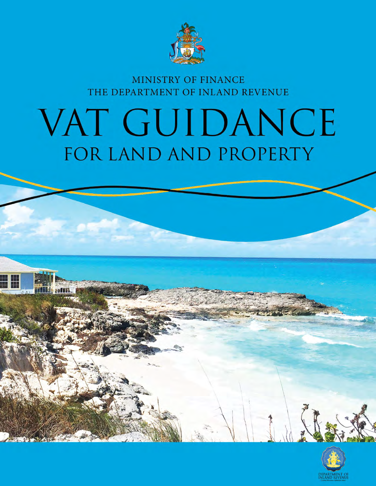

# MINISTRY OF FINANCE THE DEPARTMENT OF INLAND REVENUE

# VAT GUIDANCE FOR LAND AND PROPERTY

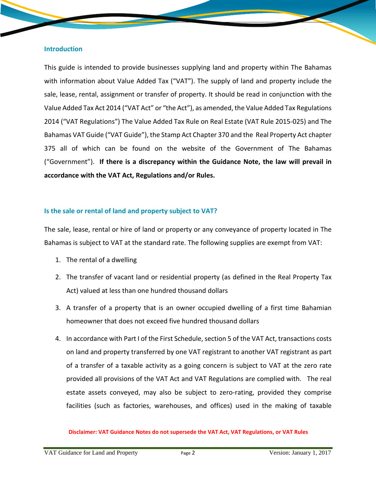#### **Introduction**

This guide is intended to provide businesses supplying land and property within The Bahamas with information about Value Added Tax ("VAT"). The supply of land and property include the sale, lease, rental, assignment or transfer of property. It should be read in conjunction with the Value Added Tax Act 2014 ("VAT Act" or "the Act"), as amended, the Value Added Tax Regulations 2014 ("VAT Regulations") The Value Added Tax Rule on Real Estate (VAT Rule 2015-025) and The Bahamas VAT Guide ("VAT Guide"), the Stamp Act Chapter 370 and the Real Property Act chapter 375 all of which can be found on the website of the Government of The Bahamas ("Government"). **If there is a discrepancy within the Guidance Note, the law will prevail in accordance with the VAT Act, Regulations and/or Rules.**

# **Is the sale or rental of land and property subject to VAT?**

The sale, lease, rental or hire of land or property or any conveyance of property located in The Bahamas is subject to VAT at the standard rate. The following supplies are exempt from VAT:

- 1. The rental of a dwelling
- 2. The transfer of vacant land or residential property (as defined in the Real Property Tax Act) valued at less than one hundred thousand dollars
- 3. A transfer of a property that is an owner occupied dwelling of a first time Bahamian homeowner that does not exceed five hundred thousand dollars
- 4. In accordance with Part I of the First Schedule, section 5 of the VAT Act, transactions costs on land and property transferred by one VAT registrant to another VAT registrant as part of a transfer of a taxable activity as a going concern is subject to VAT at the zero rate provided all provisions of the VAT Act and VAT Regulations are complied with. The real estate assets conveyed, may also be subject to zero-rating, provided they comprise facilities (such as factories, warehouses, and offices) used in the making of taxable

#### **Disclaimer: VAT Guidance Notes do not supersede the VAT Act, VAT Regulations, or VAT Rules**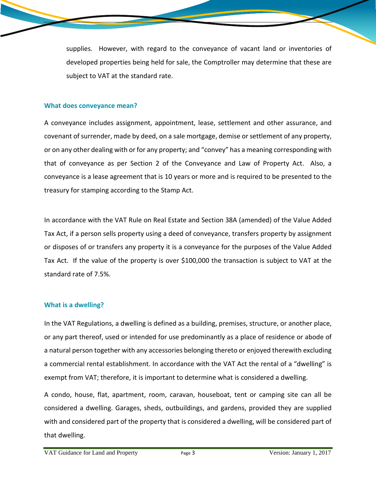supplies. However, with regard to the conveyance of vacant land or inventories of developed properties being held for sale, the Comptroller may determine that these are subject to VAT at the standard rate.

#### **What does conveyance mean?**

A conveyance includes assignment, appointment, lease, settlement and other assurance, and covenant of surrender, made by deed, on a sale mortgage, demise or settlement of any property, or on any other dealing with or for any property; and "convey" has a meaning corresponding with that of conveyance as per Section 2 of the Conveyance and Law of Property Act. Also, a conveyance is a lease agreement that is 10 years or more and is required to be presented to the treasury for stamping according to the Stamp Act.

In accordance with the VAT Rule on Real Estate and Section 38A (amended) of the Value Added Tax Act, if a person sells property using a deed of conveyance, transfers property by assignment or disposes of or transfers any property it is a conveyance for the purposes of the Value Added Tax Act. If the value of the property is over \$100,000 the transaction is subject to VAT at the standard rate of 7.5%.

# **What is a dwelling?**

In the VAT Regulations, a dwelling is defined as a building, premises, structure, or another place, or any part thereof, used or intended for use predominantly as a place of residence or abode of a natural person together with any accessories belonging thereto or enjoyed therewith excluding a commercial rental establishment. In accordance with the VAT Act the rental of a "dwelling" is exempt from VAT; therefore, it is important to determine what is considered a dwelling.

A condo, house, flat, apartment, room, caravan, houseboat, tent or camping site can all be considered a dwelling. Garages, sheds, outbuildings, and gardens, provided they are supplied with and considered part of the property that is considered a dwelling, will be considered part of that dwelling.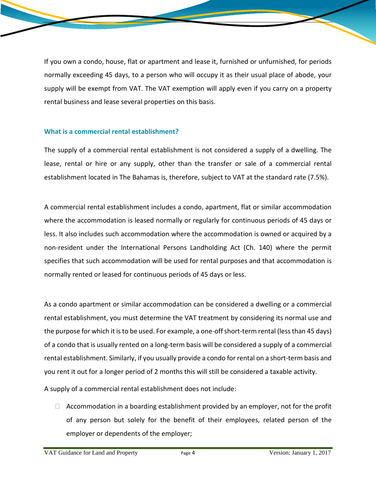If you own a condo, house, flat or apartment and lease it, furnished or unfurnished, for periods normally exceeding 45 days, to a person who will occupy it as their usual place of abode, your supply will be exempt from VAT. The VAT exemption will apply even if you carry on a property rental business and lease several properties on this basis.

# **What is a commercial rental establishment?**

The supply of a commercial rental establishment is not considered a supply of a dwelling. The lease, rental or hire or any supply, other than the transfer or sale of a commercial rental establishment located in The Bahamas is, therefore, subject to VAT at the standard rate (7.5%).

A commercial rental establishment includes a condo, apartment, flat or similar accommodation where the accommodation is leased normally or regularly for continuous periods of 45 days or less. It also includes such accommodation where the accommodation is owned or acquired by a non-resident under the International Persons Landholding Act (Ch. 140) where the permit specifies that such accommodation will be used for rental purposes and that accommodation is normally rented or leased for continuous periods of 45 days or less.

As a condo apartment or similar accommodation can be considered a dwelling or a commercial rental establishment, you must determine the VAT treatment by considering its normal use and the purpose for which it is to be used. For example, a one-off short-term rental (less than 45 days) of a condo that is usually rented on a long-term basis will be considered a supply of a commercial rental establishment. Similarly, if you usually provide a condo for rental on a short-term basis and you rent it out for a longer period of 2 months this will still be considered a taxable activity.

A supply of a commercial rental establishment does not include:

 $\Box$  Accommodation in a boarding establishment provided by an employer, not for the profit of any person but solely for the benefit of their employees, related person of the employer or dependents of the employer;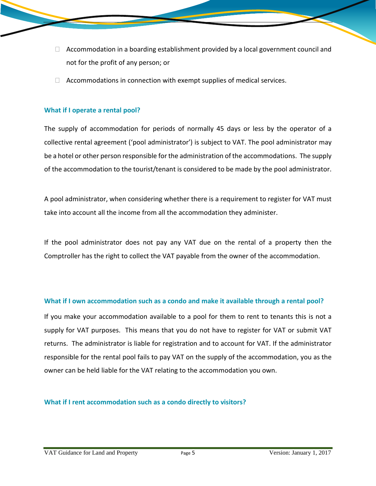- $\Box$  Accommodation in a boarding establishment provided by a local government council and not for the profit of any person; or
- $\Box$  Accommodations in connection with exempt supplies of medical services.

## **What if I operate a rental pool?**

The supply of accommodation for periods of normally 45 days or less by the operator of a collective rental agreement ('pool administrator') is subject to VAT. The pool administrator may be a hotel or other person responsible for the administration of the accommodations. The supply of the accommodation to the tourist/tenant is considered to be made by the pool administrator.

A pool administrator, when considering whether there is a requirement to register for VAT must take into account all the income from all the accommodation they administer.

If the pool administrator does not pay any VAT due on the rental of a property then the Comptroller has the right to collect the VAT payable from the owner of the accommodation.

#### **What if I own accommodation such as a condo and make it available through a rental pool?**

If you make your accommodation available to a pool for them to rent to tenants this is not a supply for VAT purposes. This means that you do not have to register for VAT or submit VAT returns. The administrator is liable for registration and to account for VAT. If the administrator responsible for the rental pool fails to pay VAT on the supply of the accommodation, you as the owner can be held liable for the VAT relating to the accommodation you own.

**What if I rent accommodation such as a condo directly to visitors?**

VAT Guidance for Land and Property Page 5 9 Version: January 1, 2017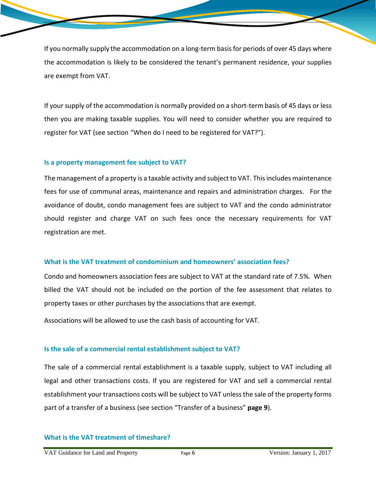If you normally supply the accommodation on a long-term basisfor periods of over 45 days where the accommodation is likely to be considered the tenant's permanent residence, your supplies are exempt from VAT.

If your supply of the accommodation is normally provided on a short-term basis of 45 days or less then you are making taxable supplies. You will need to consider whether you are required to register for VAT (see section "When do I need to be registered for VAT?").

#### **Is a property management fee subject to VAT?**

The management of a property is a taxable activity and subject to VAT. Thisincludes maintenance fees for use of communal areas, maintenance and repairs and administration charges. For the avoidance of doubt, condo management fees are subject to VAT and the condo administrator should register and charge VAT on such fees once the necessary requirements for VAT registration are met.

#### **What is the VAT treatment of condominium and homeowners' association fees?**

Condo and homeowners association fees are subject to VAT at the standard rate of 7.5%. When billed the VAT should not be included on the portion of the fee assessment that relates to property taxes or other purchases by the associations that are exempt.

Associations will be allowed to use the cash basis of accounting for VAT.

#### **Is the sale of a commercial rental establishment subject to VAT?**

The sale of a commercial rental establishment is a taxable supply, subject to VAT including all legal and other transactions costs. If you are registered for VAT and sell a commercial rental establishment your transactions costs will be subject to VAT unless the sale of the property forms part of a transfer of a business (see section "Transfer of a business" **page 9**).

#### **What is the VAT treatment of timeshare?**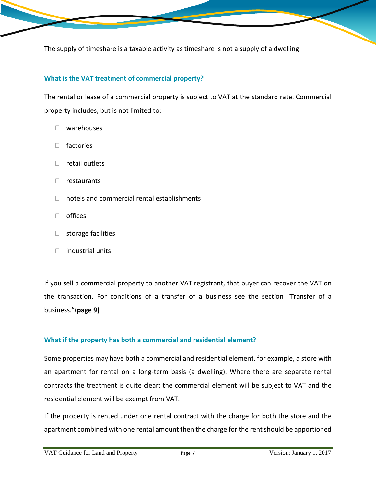The supply of timeshare is a taxable activity as timeshare is not a supply of a dwelling.

# **What is the VAT treatment of commercial property?**

The rental or lease of a commercial property is subject to VAT at the standard rate. Commercial property includes, but is not limited to:

- warehouses
- □ factories
- $\Box$  retail outlets
- $\Box$  restaurants
- $\Box$  hotels and commercial rental establishments
- □ offices
- $\Box$  storage facilities
- $\Box$  industrial units

If you sell a commercial property to another VAT registrant, that buyer can recover the VAT on the transaction. For conditions of a transfer of a business see the section "Transfer of a business."(**page 9)**

#### **What if the property has both a commercial and residential element?**

Some properties may have both a commercial and residential element, for example, a store with an apartment for rental on a long-term basis (a dwelling). Where there are separate rental contracts the treatment is quite clear; the commercial element will be subject to VAT and the residential element will be exempt from VAT.

If the property is rented under one rental contract with the charge for both the store and the apartment combined with one rental amount then the charge for the rent should be apportioned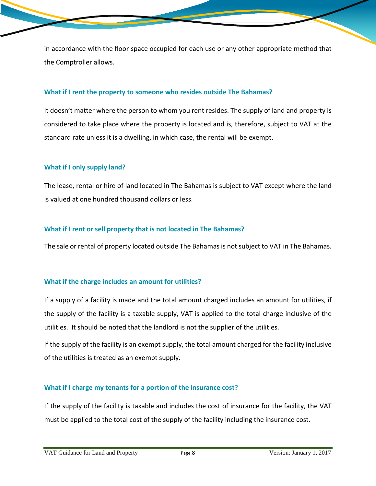in accordance with the floor space occupied for each use or any other appropriate method that the Comptroller allows.

#### **What if I rent the property to someone who resides outside The Bahamas?**

It doesn't matter where the person to whom you rent resides. The supply of land and property is considered to take place where the property is located and is, therefore, subject to VAT at the standard rate unless it is a dwelling, in which case, the rental will be exempt.

#### **What if I only supply land?**

The lease, rental or hire of land located in The Bahamas is subject to VAT except where the land is valued at one hundred thousand dollars or less.

## **What if I rent or sell property that is not located in The Bahamas?**

The sale or rental of property located outside The Bahamas is not subject to VAT in The Bahamas.

#### **What if the charge includes an amount for utilities?**

If a supply of a facility is made and the total amount charged includes an amount for utilities, if the supply of the facility is a taxable supply, VAT is applied to the total charge inclusive of the utilities. It should be noted that the landlord is not the supplier of the utilities.

If the supply of the facility is an exempt supply, the total amount charged for the facility inclusive of the utilities is treated as an exempt supply.

#### **What if I charge my tenants for a portion of the insurance cost?**

If the supply of the facility is taxable and includes the cost of insurance for the facility, the VAT must be applied to the total cost of the supply of the facility including the insurance cost.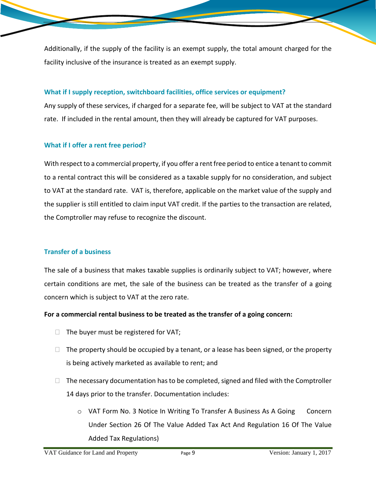Additionally, if the supply of the facility is an exempt supply, the total amount charged for the facility inclusive of the insurance is treated as an exempt supply.

# **What if I supply reception, switchboard facilities, office services or equipment?**

Any supply of these services, if charged for a separate fee, will be subject to VAT at the standard rate. If included in the rental amount, then they will already be captured for VAT purposes.

# **What if I offer a rent free period?**

With respect to a commercial property, if you offer a rent free period to entice a tenant to commit to a rental contract this will be considered as a taxable supply for no consideration, and subject to VAT at the standard rate. VAT is, therefore, applicable on the market value of the supply and the supplier is still entitled to claim input VAT credit. If the parties to the transaction are related, the Comptroller may refuse to recognize the discount.

# **Transfer of a business**

The sale of a business that makes taxable supplies is ordinarily subject to VAT; however, where certain conditions are met, the sale of the business can be treated as the transfer of a going concern which is subject to VAT at the zero rate.

# **For a commercial rental business to be treated as the transfer of a going concern:**

- $\Box$  The buyer must be registered for VAT;
- $\Box$  The property should be occupied by a tenant, or a lease has been signed, or the property is being actively marketed as available to rent; and
- $\Box$  The necessary documentation has to be completed, signed and filed with the Comptroller 14 days prior to the transfer. Documentation includes:
	- o VAT Form No. 3 Notice In Writing To Transfer A Business As A Going Concern Under Section 26 Of The Value Added Tax Act And Regulation 16 Of The Value Added Tax Regulations)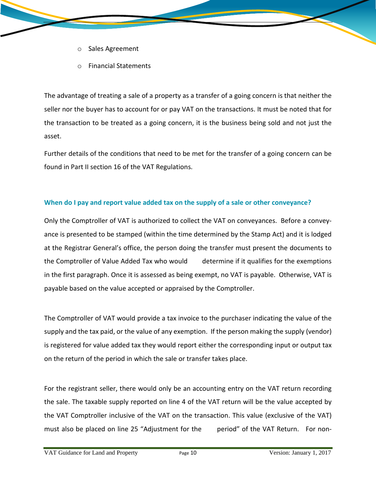- o Sales Agreement
- o Financial Statements

The advantage of treating a sale of a property as a transfer of a going concern is that neither the seller nor the buyer has to account for or pay VAT on the transactions. It must be noted that for the transaction to be treated as a going concern, it is the business being sold and not just the asset.

Further details of the conditions that need to be met for the transfer of a going concern can be found in Part II section 16 of the VAT Regulations.

# **When do I pay and report value added tax on the supply of a sale or other conveyance?**

Only the Comptroller of VAT is authorized to collect the VAT on conveyances. Before a conveyance is presented to be stamped (within the time determined by the Stamp Act) and it is lodged at the Registrar General's office, the person doing the transfer must present the documents to the Comptroller of Value Added Tax who would determine if it qualifies for the exemptions in the first paragraph. Once it is assessed as being exempt, no VAT is payable. Otherwise, VAT is payable based on the value accepted or appraised by the Comptroller.

The Comptroller of VAT would provide a tax invoice to the purchaser indicating the value of the supply and the tax paid, or the value of any exemption. If the person making the supply (vendor) is registered for value added tax they would report either the corresponding input or output tax on the return of the period in which the sale or transfer takes place.

For the registrant seller, there would only be an accounting entry on the VAT return recording the sale. The taxable supply reported on line 4 of the VAT return will be the value accepted by the VAT Comptroller inclusive of the VAT on the transaction. This value (exclusive of the VAT) must also be placed on line 25 "Adjustment for the period" of the VAT Return. For non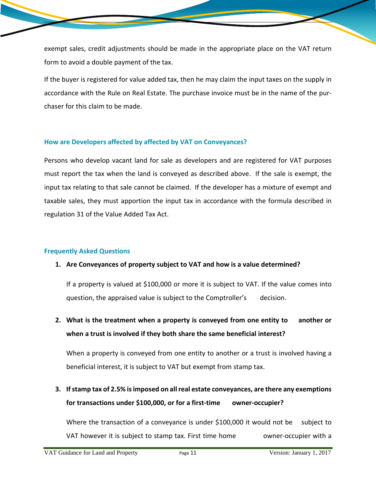exempt sales, credit adjustments should be made in the appropriate place on the VAT return form to avoid a double payment of the tax.

If the buyer is registered for value added tax, then he may claim the input taxes on the supply in accordance with the Rule on Real Estate. The purchase invoice must be in the name of the purchaser for this claim to be made.

# **How are Developers affected by affected by VAT on Conveyances?**

Persons who develop vacant land for sale as developers and are registered for VAT purposes must report the tax when the land is conveyed as described above. If the sale is exempt, the input tax relating to that sale cannot be claimed. If the developer has a mixture of exempt and taxable sales, they must apportion the input tax in accordance with the formula described in regulation 31 of the Value Added Tax Act.

# **Frequently Asked Questions**

# **1. Are Conveyances of property subject to VAT and how is a value determined?**

If a property is valued at \$100,000 or more it is subject to VAT. If the value comes into question, the appraised value is subject to the Comptroller's decision.

**2. What is the treatment when a property is conveyed from one entity to another or when a trust is involved if they both share the same beneficial interest?**

When a property is conveyed from one entity to another or a trust is involved having a beneficial interest, it is subject to VAT but exempt from stamp tax.

**3. Ifstamp tax of 2.5% isimposed on allreal estate conveyances, are there any exemptions for transactions under \$100,000, or for a first-time owner-occupier?**

Where the transaction of a conveyance is under \$100,000 it would not be subject to VAT however it is subject to stamp tax. First time home owner-occupier with a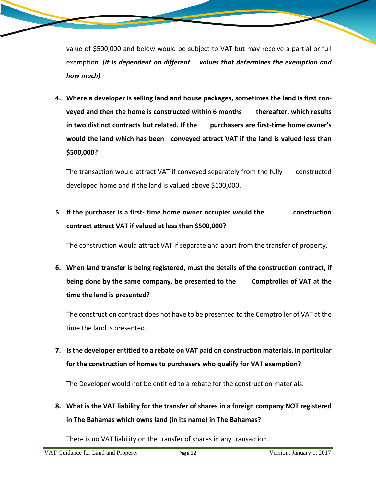value of \$500,000 and below would be subject to VAT but may receive a partial or full exemption. (*It is dependent on different values that determines the exemption and how much)*

**4. Where a developer is selling land and house packages, sometimes the land is first conveyed and then the home is constructed within 6 months thereafter, which results in two distinct contracts but related. If the purchasers are first-time home owner's would the land which has been conveyed attract VAT if the land is valued less than \$500,000?** 

The transaction would attract VAT if conveyed separately from the fully constructed developed home and if the land is valued above \$100,000.

**5. If the purchaser is a first- time home owner occupier would the construction contract attract VAT if valued at less than \$500,000?**

The construction would attract VAT if separate and apart from the transfer of property.

**6. When land transfer is being registered, must the details of the construction contract, if being done by the same company, be presented to the Comptroller of VAT at the time the land is presented?**

The construction contract does not have to be presented to the Comptroller of VAT at the time the land is presented.

**7. Isthe developer entitled to a rebate on VAT paid on construction materials, in particular for the construction of homes to purchasers who qualify for VAT exemption?**

The Developer would not be entitled to a rebate for the construction materials.

**8. What is the VAT liability for the transfer of shares in a foreign company NOT registered in The Bahamas which owns land (in its name) in The Bahamas?**

There is no VAT liability on the transfer of shares in any transaction.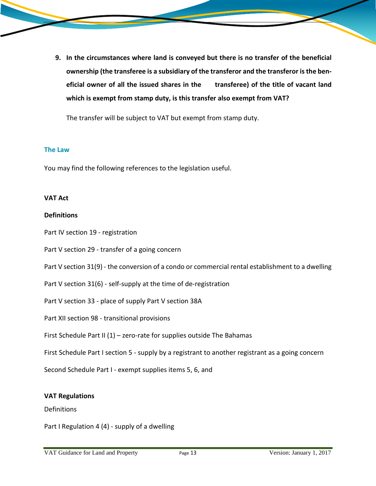- - **9. In the circumstances where land is conveyed but there is no transfer of the beneficial ownership (the transferee is a subsidiary of the transferor and the transferor isthe beneficial owner of all the issued shares in the transferee) of the title of vacant land which is exempt from stamp duty, is this transfer also exempt from VAT?**

The transfer will be subject to VAT but exempt from stamp duty.

## **The Law**

You may find the following references to the legislation useful.

# **VAT Act**

# **Definitions**

Part IV section 19 - registration

Part V section 29 - transfer of a going concern

Part V section 31(9) - the conversion of a condo or commercial rental establishment to a dwelling

Part V section 31(6) - self-supply at the time of de-registration

Part V section 33 - place of supply Part V section 38A

Part XII section 98 - transitional provisions

First Schedule Part II  $(1)$  – zero-rate for supplies outside The Bahamas

First Schedule Part I section 5 - supply by a registrant to another registrant as a going concern

Second Schedule Part I - exempt supplies items 5, 6, and

#### **VAT Regulations**

#### Definitions

Part I Regulation 4 (4) - supply of a dwelling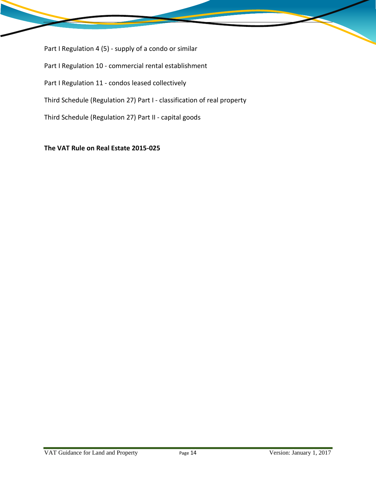Part I Regulation 4 (5) - supply of a condo or similar Part I Regulation 10 - commercial rental establishment Part I Regulation 11 - condos leased collectively Third Schedule (Regulation 27) Part I - classification of real property Third Schedule (Regulation 27) Part II - capital goods

**The VAT Rule on Real Estate 2015-025**